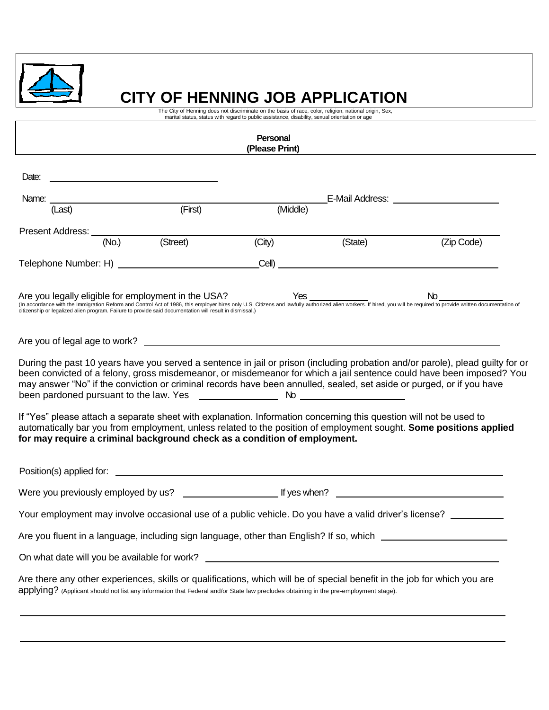

# **CITY OF HENNING JOB APPLICATION**

The City of Henning does not discriminate on the basis of race, color, religion, national origin, Sex, marital status, status with regard to public assistance, disability, sexual orientation or age

|                                                                                                                                                                                                                                                                                                                       |                                                                                                                                                                                                                                                                                                                                               | Personal<br>(Please Print) |                |                                                                                                                                                                                                                                                        |  |
|-----------------------------------------------------------------------------------------------------------------------------------------------------------------------------------------------------------------------------------------------------------------------------------------------------------------------|-----------------------------------------------------------------------------------------------------------------------------------------------------------------------------------------------------------------------------------------------------------------------------------------------------------------------------------------------|----------------------------|----------------|--------------------------------------------------------------------------------------------------------------------------------------------------------------------------------------------------------------------------------------------------------|--|
| Date:                                                                                                                                                                                                                                                                                                                 |                                                                                                                                                                                                                                                                                                                                               |                            |                |                                                                                                                                                                                                                                                        |  |
|                                                                                                                                                                                                                                                                                                                       |                                                                                                                                                                                                                                                                                                                                               |                            |                | _E-Mail Address: ________________________                                                                                                                                                                                                              |  |
| Name: <u>(Last)</u> (First)                                                                                                                                                                                                                                                                                           |                                                                                                                                                                                                                                                                                                                                               | (Middle)                   |                |                                                                                                                                                                                                                                                        |  |
| Present Address: (No.) (Street)                                                                                                                                                                                                                                                                                       |                                                                                                                                                                                                                                                                                                                                               |                            |                |                                                                                                                                                                                                                                                        |  |
|                                                                                                                                                                                                                                                                                                                       |                                                                                                                                                                                                                                                                                                                                               |                            | (City) (State) | (Zip Code)                                                                                                                                                                                                                                             |  |
|                                                                                                                                                                                                                                                                                                                       |                                                                                                                                                                                                                                                                                                                                               |                            |                |                                                                                                                                                                                                                                                        |  |
|                                                                                                                                                                                                                                                                                                                       | Are you legally eligible for employment in the USA?<br>(In accordance with the Immigration Reform and Control Act of 1986, this employer hires only U.S. Citizens and lawfully authorized alien workers. If hired, you will be re<br>citizenship or legalized alien program. Failure to provide said documentation will result in dismissal.) |                            |                |                                                                                                                                                                                                                                                        |  |
|                                                                                                                                                                                                                                                                                                                       |                                                                                                                                                                                                                                                                                                                                               |                            |                |                                                                                                                                                                                                                                                        |  |
| may answer "No" if the conviction or criminal records have been annulled, sealed, set aside or purged, or if you have                                                                                                                                                                                                 |                                                                                                                                                                                                                                                                                                                                               |                            |                | During the past 10 years have you served a sentence in jail or prison (including probation and/or parole), plead guilty for or<br>been convicted of a felony, gross misdemeanor, or misdemeanor for which a jail sentence could have been imposed? You |  |
| If "Yes" please attach a separate sheet with explanation. Information concerning this question will not be used to<br>automatically bar you from employment, unless related to the position of employment sought. Some positions applied<br>for may require a criminal background check as a condition of employment. |                                                                                                                                                                                                                                                                                                                                               |                            |                |                                                                                                                                                                                                                                                        |  |
|                                                                                                                                                                                                                                                                                                                       |                                                                                                                                                                                                                                                                                                                                               |                            |                |                                                                                                                                                                                                                                                        |  |
|                                                                                                                                                                                                                                                                                                                       |                                                                                                                                                                                                                                                                                                                                               |                            |                |                                                                                                                                                                                                                                                        |  |
| Your employment may involve occasional use of a public vehicle. Do you have a valid driver's license? ________                                                                                                                                                                                                        |                                                                                                                                                                                                                                                                                                                                               |                            |                |                                                                                                                                                                                                                                                        |  |
| Are you fluent in a language, including sign language, other than English? If so, which ______________________                                                                                                                                                                                                        |                                                                                                                                                                                                                                                                                                                                               |                            |                |                                                                                                                                                                                                                                                        |  |
|                                                                                                                                                                                                                                                                                                                       |                                                                                                                                                                                                                                                                                                                                               |                            |                |                                                                                                                                                                                                                                                        |  |
| Are there any other experiences, skills or qualifications, which will be of special benefit in the job for which you are<br>applying? (Applicant should not list any information that Federal and/or State law precludes obtaining in the pre-employment stage).                                                      |                                                                                                                                                                                                                                                                                                                                               |                            |                |                                                                                                                                                                                                                                                        |  |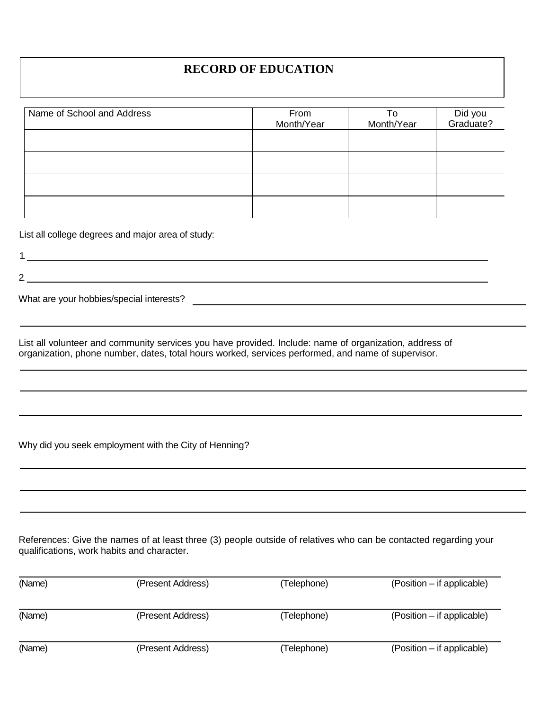## **RECORD OF EDUCATION**

| Name of School and Address | From<br>Month/Year | To<br>Month/Year | Did you<br>Graduate? |
|----------------------------|--------------------|------------------|----------------------|
|                            |                    |                  |                      |
|                            |                    |                  |                      |
|                            |                    |                  |                      |
|                            |                    |                  |                      |

List all college degrees and major area of study:

1. 2.

What are your hobbies/special interests?

List all volunteer and community services you have provided. Include: name of organization, address of organization, phone number, dates, total hours worked, services performed, and name of supervisor.

Why did you seek employment with the City of Henning?

References: Give the names of at least three (3) people outside of relatives who can be contacted regarding your qualifications, work habits and character.

| (Name) | (Present Address) | (Telephone) | (Position – if applicable) |
|--------|-------------------|-------------|----------------------------|
| (Name) | (Present Address) | (Telephone) | (Position – if applicable) |
| (Name) | (Present Address) | (Telephone) | (Position – if applicable) |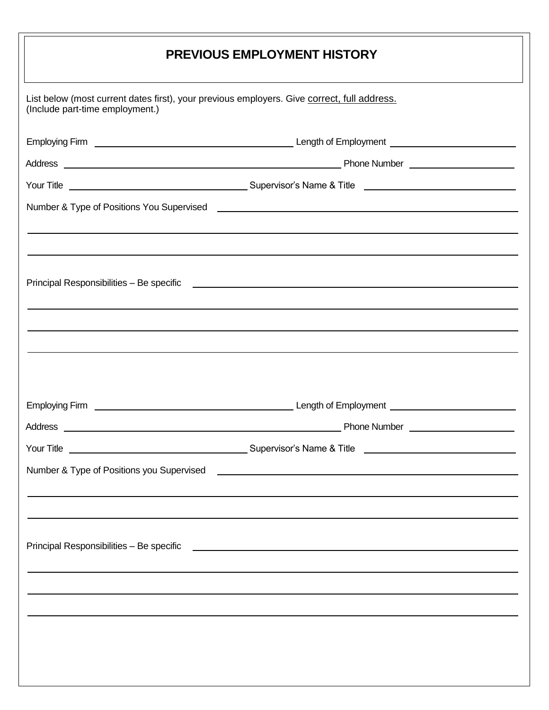|                                 | <b>PREVIOUS EMPLOYMENT HISTORY</b>                                                                                 |
|---------------------------------|--------------------------------------------------------------------------------------------------------------------|
| (Include part-time employment.) | List below (most current dates first), your previous employers. Give correct, full address.                        |
|                                 |                                                                                                                    |
|                                 |                                                                                                                    |
|                                 |                                                                                                                    |
|                                 |                                                                                                                    |
| <b>Employing Firm</b>           | Length of Employment<br>Phone Number <b>Number Number</b>                                                          |
|                                 |                                                                                                                    |
|                                 | Number & Type of Positions you Supervised <b>Container and Container and Container</b> and Container and Container |

<u> 1999 - John Barnett</u>

<u> Liberature</u>

 $\sim$   $\sim$ 

 $\overline{\phantom{a}}$ 

 $\overline{\phantom{0}}$ 

 $\equiv$ 

 $\overline{\phantom{0}}$ 

Principal Responsibilities – Be specific<u> 1999 - Johann Stoff, fransk politik (f. 1989)</u>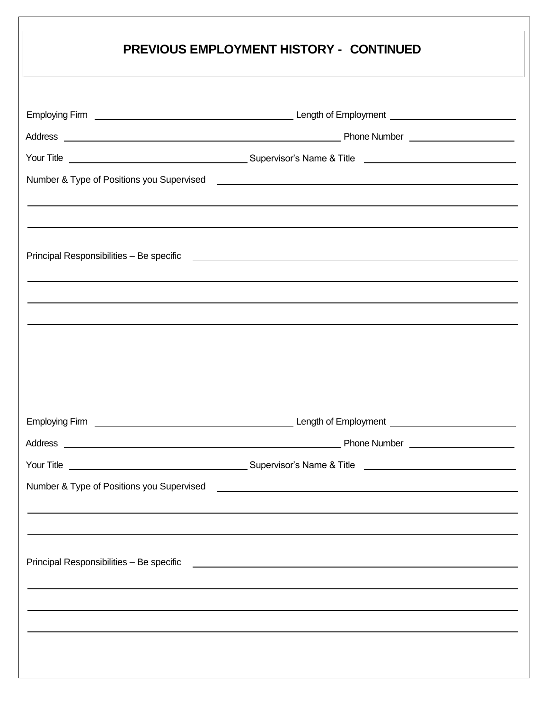| <b>PREVIOUS EMPLOYMENT HISTORY - CONTINUED</b>                                                                                                                                                                                |
|-------------------------------------------------------------------------------------------------------------------------------------------------------------------------------------------------------------------------------|
|                                                                                                                                                                                                                               |
|                                                                                                                                                                                                                               |
|                                                                                                                                                                                                                               |
|                                                                                                                                                                                                                               |
| Principal Responsibilities – Be specific et al. 2006 and 2007 and 2008 and 2008 and 2008 and 2008 and 2008 and                                                                                                                |
|                                                                                                                                                                                                                               |
|                                                                                                                                                                                                                               |
|                                                                                                                                                                                                                               |
|                                                                                                                                                                                                                               |
|                                                                                                                                                                                                                               |
|                                                                                                                                                                                                                               |
|                                                                                                                                                                                                                               |
|                                                                                                                                                                                                                               |
| Principal Responsibilities – Be specific Letter and Control and Control of the Control of the Control of the Control of the Control of the Control of the Control of the Control of the Control of the Control of the Control |
|                                                                                                                                                                                                                               |
|                                                                                                                                                                                                                               |
|                                                                                                                                                                                                                               |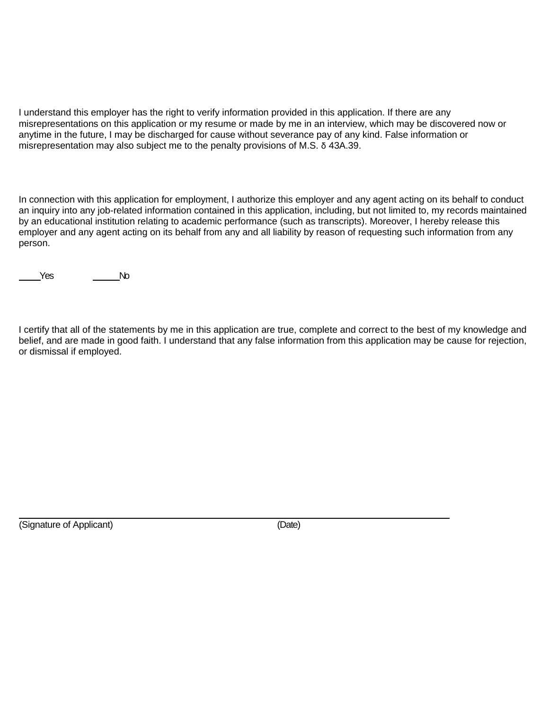I understand this employer has the right to verify information provided in this application. If there are any misrepresentations on this application or my resume or made by me in an interview, which may be discovered now or anytime in the future, I may be discharged for cause without severance pay of any kind. False information or misrepresentation may also subject me to the penalty provisions of M.S. δ 43A.39.

In connection with this application for employment, I authorize this employer and any agent acting on its behalf to conduct an inquiry into any job-related information contained in this application, including, but not limited to, my records maintained by an educational institution relating to academic performance (such as transcripts). Moreover, I hereby release this employer and any agent acting on its behalf from any and all liability by reason of requesting such information from any person.

Yes No

I certify that all of the statements by me in this application are true, complete and correct to the best of my knowledge and belief, and are made in good faith. I understand that any false information from this application may be cause for rejection, or dismissal if employed.

(Signature of Applicant) (Date)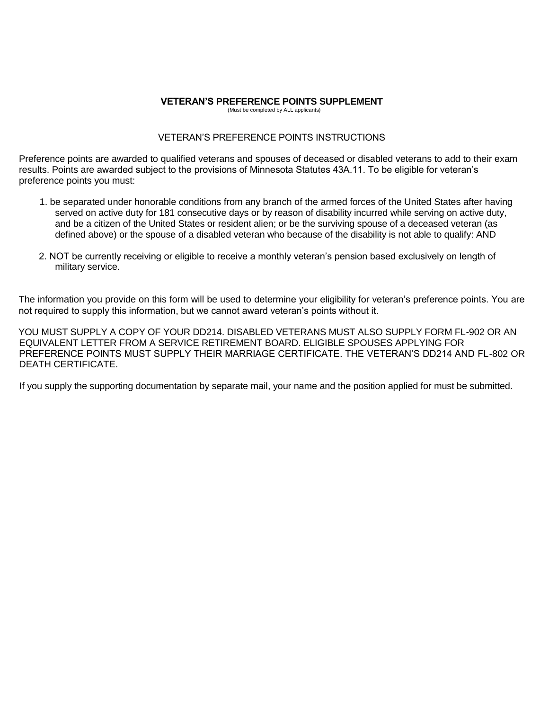#### **VETERAN'S PREFERENCE POINTS SUPPLEMENT**

(Must be completed by ALL applicants)

#### VETERAN'S PREFERENCE POINTS INSTRUCTIONS

Preference points are awarded to qualified veterans and spouses of deceased or disabled veterans to add to their exam results. Points are awarded subject to the provisions of Minnesota Statutes 43A.11. To be eligible for veteran's preference points you must:

- 1. be separated under honorable conditions from any branch of the armed forces of the United States after having served on active duty for 181 consecutive days or by reason of disability incurred while serving on active duty, and be a citizen of the United States or resident alien; or be the surviving spouse of a deceased veteran (as defined above) or the spouse of a disabled veteran who because of the disability is not able to qualify: AND
- 2. NOT be currently receiving or eligible to receive a monthly veteran's pension based exclusively on length of military service.

The information you provide on this form will be used to determine your eligibility for veteran's preference points. You are not required to supply this information, but we cannot award veteran's points without it.

YOU MUST SUPPLY A COPY OF YOUR DD214. DISABLED VETERANS MUST ALSO SUPPLY FORM FL-902 OR AN EQUIVALENT LETTER FROM A SERVICE RETIREMENT BOARD. ELIGIBLE SPOUSES APPLYING FOR PREFERENCE POINTS MUST SUPPLY THEIR MARRIAGE CERTIFICATE. THE VETERAN'S DD214 AND FL-802 OR DEATH CERTIFICATE.

If you supply the supporting documentation by separate mail, your name and the position applied for must be submitted.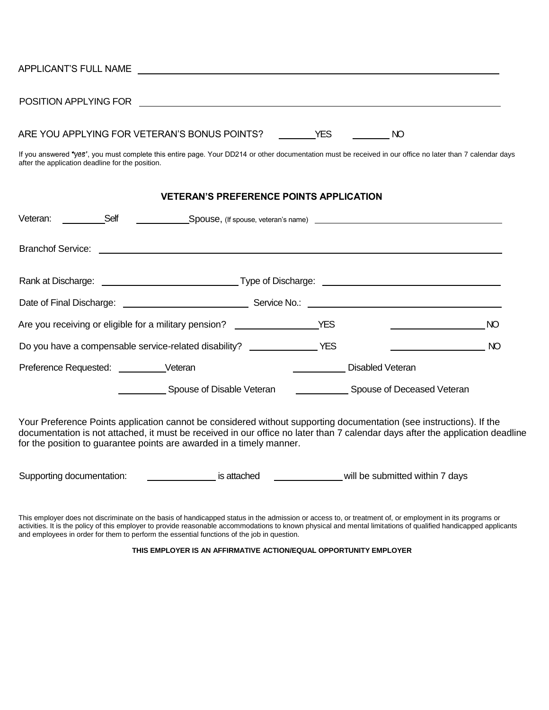| ARE YOU APPLYING FOR VETERAN'S BONUS POINTS? THES THE STATE AND                                                                                                                                               |           |
|---------------------------------------------------------------------------------------------------------------------------------------------------------------------------------------------------------------|-----------|
| If you answered "yes", you must complete this entire page. Your DD214 or other documentation must be received in our office no later than 7 calendar days<br>after the application deadline for the position. |           |
| <b>VETERAN'S PREFERENCE POINTS APPLICATION</b>                                                                                                                                                                |           |
| Veteran:                                                                                                                                                                                                      |           |
|                                                                                                                                                                                                               |           |
|                                                                                                                                                                                                               |           |
|                                                                                                                                                                                                               |           |
| Are you receiving or eligible for a military pension? __________________________YES<br><u> 1989 - John Stein, mars and de Branden</u>                                                                         | <b>NO</b> |
| Do you have a compensable service-related disability? _______________________YES                                                                                                                              | NO        |

| Preference Requested: | √eteran | Disabled Veteran |
|-----------------------|---------|------------------|
|                       |         |                  |

Spouse of Disable Veteran Chronic Chronics Spouse of Deceased Veteran

Your Preference Points application cannot be considered without supporting documentation (see instructions). If the documentation is not attached, it must be received in our office no later than 7 calendar days after the application deadline for the position to guarantee points are awarded in a timely manner.

Supporting documentation: included intervals attached will be submitted within 7 days

This employer does not discriminate on the basis of handicapped status in the admission or access to, or treatment of, or employment in its programs or activities. It is the policy of this employer to provide reasonable accommodations to known physical and mental limitations of qualified handicapped applicants and employees in order for them to perform the essential functions of the job in question.

#### **THIS EMPLOYER IS AN AFFIRMATIVE ACTION/EQUAL OPPORTUNITY EMPLOYER**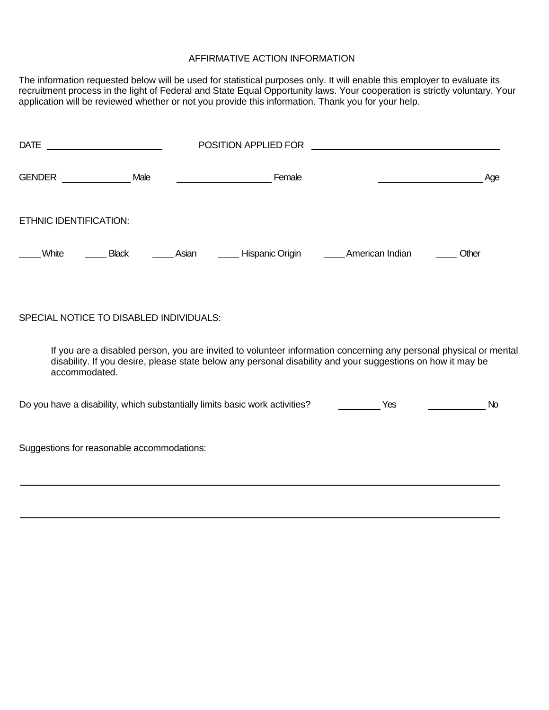### AFFIRMATIVE ACTION INFORMATION

The information requested below will be used for statistical purposes only. It will enable this employer to evaluate its recruitment process in the light of Federal and State Equal Opportunity laws. Your cooperation is strictly voluntary. Your application will be reviewed whether or not you provide this information. Thank you for your help.

| <b>DATE</b><br><u> 1990 - Johann Barbara, martin a</u>                      |                                                                                                                                                                                                                                  | POSITION APPLIED FOR    |                 |       |
|-----------------------------------------------------------------------------|----------------------------------------------------------------------------------------------------------------------------------------------------------------------------------------------------------------------------------|-------------------------|-----------------|-------|
| GENDER Male                                                                 |                                                                                                                                                                                                                                  | <b>Example 2</b> Female |                 | Age   |
| <b>ETHNIC IDENTIFICATION:</b>                                               |                                                                                                                                                                                                                                  |                         |                 |       |
| White<br><b>Black</b>                                                       | Asian                                                                                                                                                                                                                            | _____ Hispanic Origin   | American Indian | Other |
|                                                                             |                                                                                                                                                                                                                                  |                         |                 |       |
| SPECIAL NOTICE TO DISABLED INDIVIDUALS:                                     |                                                                                                                                                                                                                                  |                         |                 |       |
| accommodated.                                                               | If you are a disabled person, you are invited to volunteer information concerning any personal physical or mental<br>disability. If you desire, please state below any personal disability and your suggestions on how it may be |                         |                 |       |
| Do you have a disability, which substantially limits basic work activities? |                                                                                                                                                                                                                                  |                         | Yes             | No    |
| Suggestions for reasonable accommodations:                                  |                                                                                                                                                                                                                                  |                         |                 |       |
|                                                                             |                                                                                                                                                                                                                                  |                         |                 |       |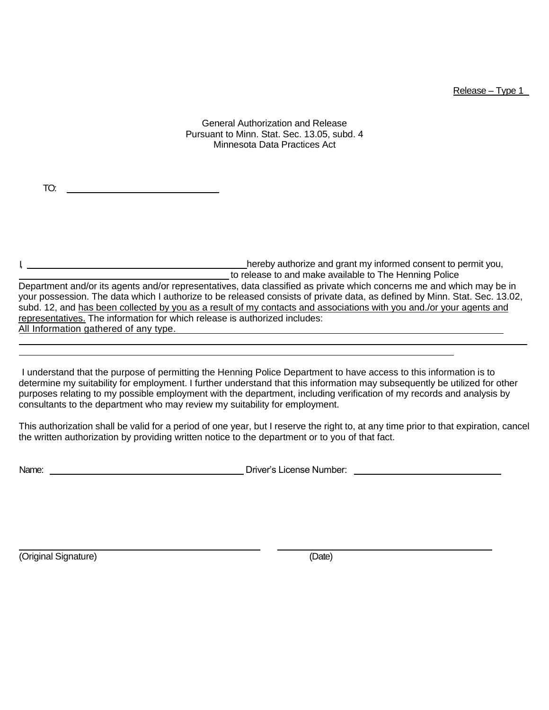Release – Type 1

General Authorization and Release Pursuant to Minn. Stat. Sec. 13.05, subd. 4 Minnesota Data Practices Act

TO:

I, hereby authorize and grant my informed consent to permit you, to release to and make available to The Henning Police Department and/or its agents and/or representatives, data classified as private which concerns me and which may be in your possession. The data which I authorize to be released consists of private data, as defined by Minn. Stat. Sec. 13.02, subd. 12, and has been collected by you as a result of my contacts and associations with you and./or your agents and representatives. The information for which release is authorized includes: All Information gathered of any type.

I understand that the purpose of permitting the Henning Police Department to have access to this information is to determine my suitability for employment. I further understand that this information may subsequently be utilized for other purposes relating to my possible employment with the department, including verification of my records and analysis by consultants to the department who may review my suitability for employment.

This authorization shall be valid for a period of one year, but I reserve the right to, at any time prior to that expiration, cancel the written authorization by providing written notice to the department or to you of that fact.

Name: Driver's License Number:

(Original Signature) (Date)